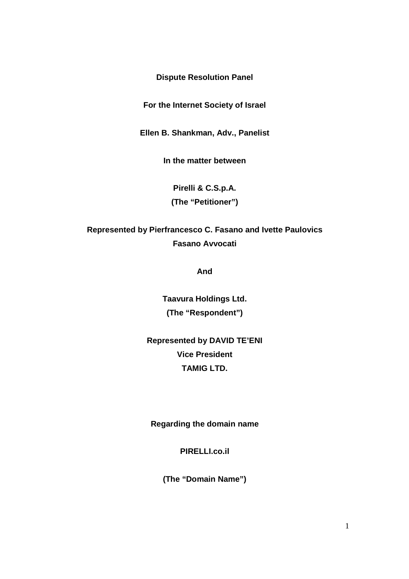**Dispute Resolution Panel** 

**For the Internet Society of Israel** 

**Ellen B. Shankman, Adv., Panelist** 

**In the matter between** 

**Pirelli & C.S.p.A. (The "Petitioner")** 

**Represented by Pierfrancesco C. Fasano and Ivette Paulovics Fasano Avvocati** 

**And** 

**Taavura Holdings Ltd. (The "Respondent")** 

**Represented by DAVID TE'ENI Vice President TAMIG LTD.**

**Regarding the domain name** 

**PIRELLI.co.il** 

**(The "Domain Name")**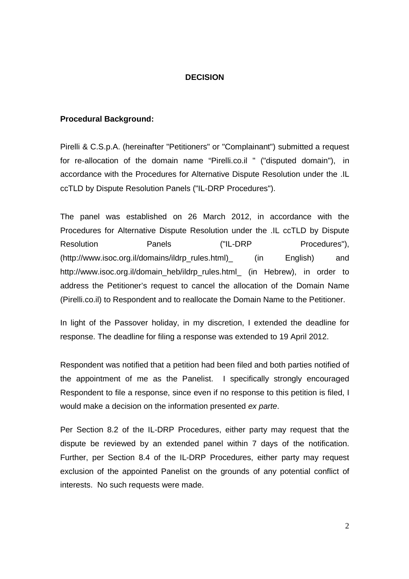## **DECISION**

#### **Procedural Background:**

Pirelli & C.S.p.A. (hereinafter "Petitioners" or "Complainant") submitted a request for re-allocation of the domain name "Pirelli.co.il " ("disputed domain"), in accordance with the Procedures for Alternative Dispute Resolution under the .IL ccTLD by Dispute Resolution Panels ("IL-DRP Procedures").

The panel was established on 26 March 2012, in accordance with the Procedures for Alternative Dispute Resolution under the .IL ccTLD by Dispute Resolution **Panels** ("IL-DRP Procedures"), (http://www.isoc.org.il/domains/ildrp\_rules.html)\_ (in English) and http://www.isoc.org.il/domain\_heb/ildrp\_rules.html\_ (in Hebrew), in order to address the Petitioner's request to cancel the allocation of the Domain Name (Pirelli.co.il) to Respondent and to reallocate the Domain Name to the Petitioner.

In light of the Passover holiday, in my discretion, I extended the deadline for response. The deadline for filing a response was extended to 19 April 2012.

Respondent was notified that a petition had been filed and both parties notified of the appointment of me as the Panelist. I specifically strongly encouraged Respondent to file a response, since even if no response to this petition is filed, I would make a decision on the information presented ex parte.

Per Section 8.2 of the IL-DRP Procedures, either party may request that the dispute be reviewed by an extended panel within 7 days of the notification. Further, per Section 8.4 of the IL-DRP Procedures, either party may request exclusion of the appointed Panelist on the grounds of any potential conflict of interests. No such requests were made.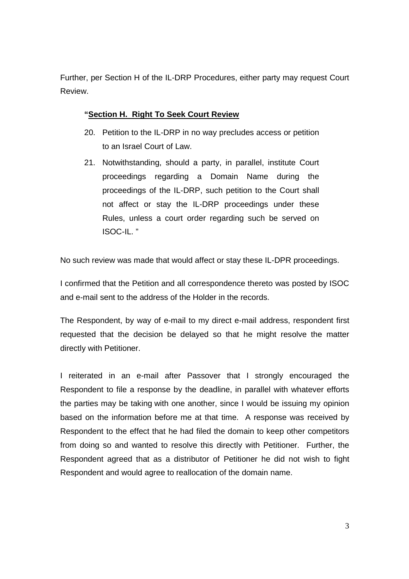Further, per Section H of the IL-DRP Procedures, either party may request Court Review.

## **"Section H. Right To Seek Court Review**

- 20. Petition to the IL-DRP in no way precludes access or petition to an Israel Court of Law.
- 21. Notwithstanding, should a party, in parallel, institute Court proceedings regarding a Domain Name during the proceedings of the IL-DRP, such petition to the Court shall not affect or stay the IL-DRP proceedings under these Rules, unless a court order regarding such be served on ISOC-IL. "

No such review was made that would affect or stay these IL-DPR proceedings.

I confirmed that the Petition and all correspondence thereto was posted by ISOC and e-mail sent to the address of the Holder in the records.

The Respondent, by way of e-mail to my direct e-mail address, respondent first requested that the decision be delayed so that he might resolve the matter directly with Petitioner.

I reiterated in an e-mail after Passover that I strongly encouraged the Respondent to file a response by the deadline, in parallel with whatever efforts the parties may be taking with one another, since I would be issuing my opinion based on the information before me at that time. A response was received by Respondent to the effect that he had filed the domain to keep other competitors from doing so and wanted to resolve this directly with Petitioner. Further, the Respondent agreed that as a distributor of Petitioner he did not wish to fight Respondent and would agree to reallocation of the domain name.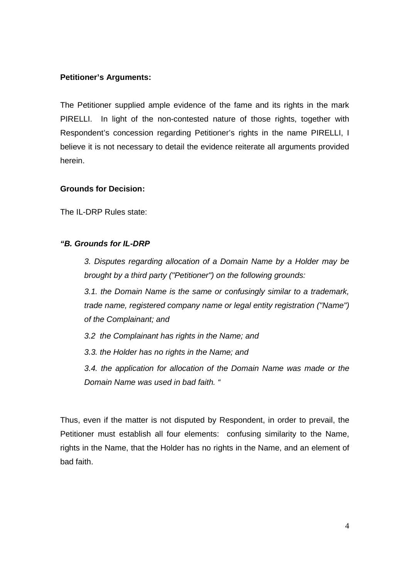## **Petitioner's Arguments:**

The Petitioner supplied ample evidence of the fame and its rights in the mark PIRELLI. In light of the non-contested nature of those rights, together with Respondent's concession regarding Petitioner's rights in the name PIRELLI, I believe it is not necessary to detail the evidence reiterate all arguments provided herein.

#### **Grounds for Decision:**

The IL-DRP Rules state:

### **"B. Grounds for IL-DRP**

3. Disputes regarding allocation of a Domain Name by a Holder may be brought by a third party ("Petitioner") on the following grounds:

3.1. the Domain Name is the same or confusingly similar to a trademark, trade name, registered company name or legal entity registration ("Name") of the Complainant; and

3.2 the Complainant has rights in the Name; and

3.3. the Holder has no rights in the Name; and

3.4. the application for allocation of the Domain Name was made or the Domain Name was used in bad faith. "

Thus, even if the matter is not disputed by Respondent, in order to prevail, the Petitioner must establish all four elements: confusing similarity to the Name, rights in the Name, that the Holder has no rights in the Name, and an element of bad faith.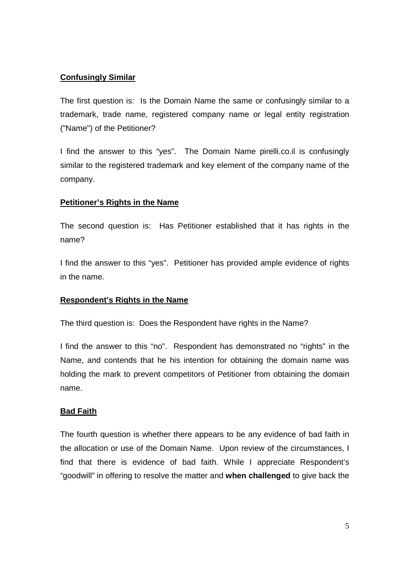# **Confusingly Similar**

The first question is: Is the Domain Name the same or confusingly similar to a trademark, trade name, registered company name or legal entity registration ("Name") of the Petitioner?

I find the answer to this "yes". The Domain Name pirelli.co.il is confusingly similar to the registered trademark and key element of the company name of the company.

# **Petitioner's Rights in the Name**

The second question is: Has Petitioner established that it has rights in the name?

I find the answer to this "yes". Petitioner has provided ample evidence of rights in the name.

# **Respondent's Rights in the Name**

The third question is: Does the Respondent have rights in the Name?

I find the answer to this "no". Respondent has demonstrated no "rights" in the Name, and contends that he his intention for obtaining the domain name was holding the mark to prevent competitors of Petitioner from obtaining the domain name.

# **Bad Faith**

The fourth question is whether there appears to be any evidence of bad faith in the allocation or use of the Domain Name. Upon review of the circumstances, I find that there is evidence of bad faith. While I appreciate Respondent's "goodwill" in offering to resolve the matter and **when challenged** to give back the